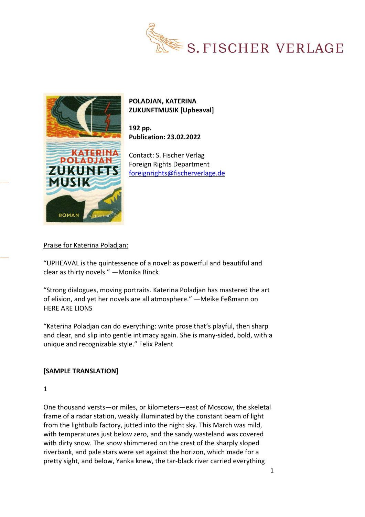



## **POLADJAN, KATERINA ZUKUNFTMUSIK [Upheaval]**

**192 pp. Publication: 23.02.2022**

Contact: S. Fischer Verlag Foreign Rights Department [foreignrights@fischerverlage.de](mailto:foreignrights@fischerverlage.de)

## Praise for Katerina Poladjan:

"UPHEAVAL is the quintessence of a novel: as powerful and beautiful and clear as thirty novels." —Monika Rinck

"Strong dialogues, moving portraits. Katerina Poladjan has mastered the art of elision, and yet her novels are all atmosphere." —Meike Feßmann on HERE ARE LIONS

"Katerina Poladjan can do everything: write prose that's playful, then sharp and clear, and slip into gentle intimacy again. She is many-sided, bold, with a unique and recognizable style." Felix Palent

## **[SAMPLE TRANSLATION]**

1

One thousand versts—or miles, or kilometers—east of Moscow, the skeletal frame of a radar station, weakly illuminated by the constant beam of light from the lightbulb factory, jutted into the night sky. This March was mild, with temperatures just below zero, and the sandy wasteland was covered with dirty snow. The snow shimmered on the crest of the sharply sloped riverbank, and pale stars were set against the horizon, which made for a pretty sight, and below, Yanka knew, the tar-black river carried everything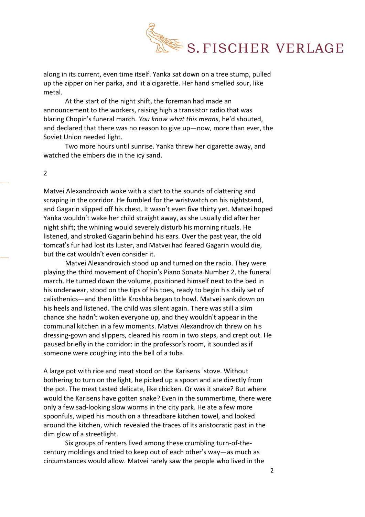

along in its current, even time itself. Yanka sat down on a tree stump, pulled up the zipper on her parka, and lit a cigarette. Her hand smelled sour, like metal.

At the start of the night shift, the foreman had made an announcement to the workers, raising high a transistor radio that was blaring Chopin's funeral march. *You know what this means*, he'd shouted, and declared that there was no reason to give up—now, more than ever, the Soviet Union needed light.

Two more hours until sunrise. Yanka threw her cigarette away, and watched the embers die in the icy sand.

 $\overline{2}$ 

Matvei Alexandrovich woke with a start to the sounds of clattering and scraping in the corridor. He fumbled for the wristwatch on his nightstand, and Gagarin slipped off his chest. It wasn't even five thirty yet. Matvei hoped Yanka wouldn't wake her child straight away, as she usually did after her night shift; the whining would severely disturb his morning rituals. He listened, and stroked Gagarin behind his ears. Over the past year, the old tomcat's fur had lost its luster, and Matvei had feared Gagarin would die, but the cat wouldn't even consider it.

Matvei Alexandrovich stood up and turned on the radio. They were playing the third movement of Chopin's Piano Sonata Number 2, the funeral march. He turned down the volume, positioned himself next to the bed in his underwear, stood on the tips of his toes, ready to begin his daily set of calisthenics—and then little Kroshka began to howl. Matvei sank down on his heels and listened. The child was silent again. There was still a slim chance she hadn't woken everyone up, and they wouldn't appear in the communal kitchen in a few moments. Matvei Alexandrovich threw on his dressing-gown and slippers, cleared his room in two steps, and crept out. He paused briefly in the corridor: in the professor's room, it sounded as if someone were coughing into the bell of a tuba.

A large pot with rice and meat stood on the Karisens 'stove. Without bothering to turn on the light, he picked up a spoon and ate directly from the pot. The meat tasted delicate, like chicken. Or was it snake? But where would the Karisens have gotten snake? Even in the summertime, there were only a few sad-looking slow worms in the city park. He ate a few more spoonfuls, wiped his mouth on a threadbare kitchen towel, and looked around the kitchen, which revealed the traces of its aristocratic past in the dim glow of a streetlight.

Six groups of renters lived among these crumbling turn-of-thecentury moldings and tried to keep out of each other's way—as much as circumstances would allow. Matvei rarely saw the people who lived in the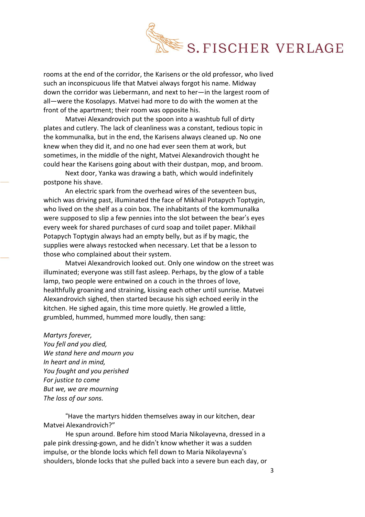

rooms at the end of the corridor, the Karisens or the old professor, who lived such an inconspicuous life that Matvei always forgot his name. Midway down the corridor was Liebermann, and next to her—in the largest room of all—were the Kosolapys. Matvei had more to do with the women at the front of the apartment; their room was opposite his.

Matvei Alexandrovich put the spoon into a washtub full of dirty plates and cutlery. The lack of cleanliness was a constant, tedious topic in the kommunalka, but in the end, the Karisens always cleaned up. No one knew when they did it, and no one had ever seen them at work, but sometimes, in the middle of the night, Matvei Alexandrovich thought he could hear the Karisens going about with their dustpan, mop, and broom.

Next door, Yanka was drawing a bath, which would indefinitely postpone his shave.

An electric spark from the overhead wires of the seventeen bus, which was driving past, illuminated the face of Mikhail Potapych Toptygin, who lived on the shelf as a coin box. The inhabitants of the kommunalka were supposed to slip a few pennies into the slot between the bear's eyes every week for shared purchases of curd soap and toilet paper. Mikhail Potapych Toptygin always had an empty belly, but as if by magic, the supplies were always restocked when necessary. Let that be a lesson to those who complained about their system.

Matvei Alexandrovich looked out. Only one window on the street was illuminated; everyone was still fast asleep. Perhaps, by the glow of a table lamp, two people were entwined on a couch in the throes of love, healthfully groaning and straining, kissing each other until sunrise. Matvei Alexandrovich sighed, then started because his sigh echoed eerily in the kitchen. He sighed again, this time more quietly. He growled a little, grumbled, hummed, hummed more loudly, then sang:

## *Martyrs forever,*

*You fell and you died, We stand here and mourn you In heart and in mind, You fought and you perished For justice to come But we, we are mourning The loss of our sons.*

"Have the martyrs hidden themselves away in our kitchen, dear Matvei Alexandrovich?"

He spun around. Before him stood Maria Nikolayevna, dressed in a pale pink dressing-gown, and he didn't know whether it was a sudden impulse, or the blonde locks which fell down to Maria Nikolayevna's shoulders, blonde locks that she pulled back into a severe bun each day, or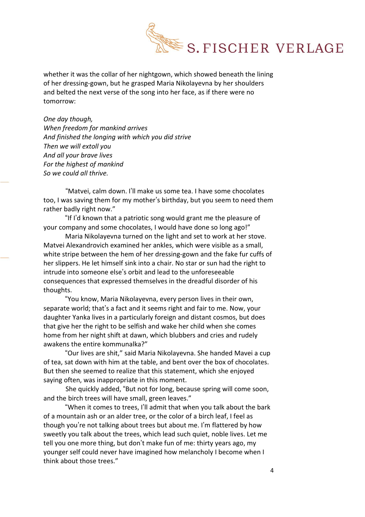

whether it was the collar of her nightgown, which showed beneath the lining of her dressing-gown, but he grasped Maria Nikolayevna by her shoulders and belted the next verse of the song into her face, as if there were no tomorrow:

*One day though, When freedom for mankind arrives And finished the longing with which you did strive Then we will extoll you And all your brave lives For the highest of mankind So we could all thrive.*

"Matvei, calm down. I'll make us some tea. I have some chocolates too, I was saving them for my mother's birthday, but you seem to need them rather badly right now."

"If I'd known that a patriotic song would grant me the pleasure of your company and some chocolates, I would have done so long ago!"

Maria Nikolayevna turned on the light and set to work at her stove. Matvei Alexandrovich examined her ankles, which were visible as a small, white stripe between the hem of her dressing-gown and the fake fur cuffs of her slippers. He let himself sink into a chair. No star or sun had the right to intrude into someone else's orbit and lead to the unforeseeable consequences that expressed themselves in the dreadful disorder of his thoughts.

"You know, Maria Nikolayevna, every person lives in their own, separate world; that's a fact and it seems right and fair to me. Now, your daughter Yanka lives in a particularly foreign and distant cosmos, but does that give her the right to be selfish and wake her child when she comes home from her night shift at dawn, which blubbers and cries and rudely awakens the entire kommunalka?"

"Our lives are shit," said Maria Nikolayevna. She handed Mavei a cup of tea, sat down with him at the table, and bent over the box of chocolates. But then she seemed to realize that this statement, which she enjoyed saying often, was inappropriate in this moment.

She quickly added, "But not for long, because spring will come soon, and the birch trees will have small, green leaves."

"When it comes to trees, I'll admit that when you talk about the bark of a mountain ash or an alder tree, or the color of a birch leaf, I feel as though you're not talking about trees but about me. I'm flattered by how sweetly you talk about the trees, which lead such quiet, noble lives. Let me tell you one more thing, but don't make fun of me: thirty years ago, my younger self could never have imagined how melancholy I become when I think about those trees."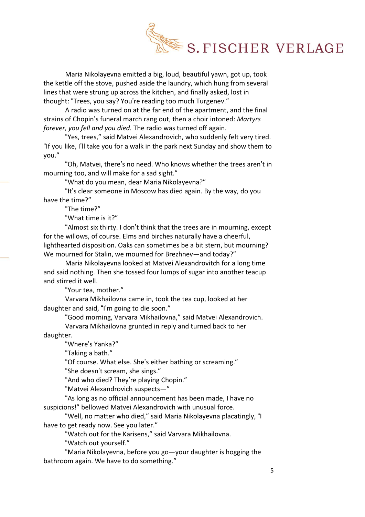

Maria Nikolayevna emitted a big, loud, beautiful yawn, got up, took the kettle off the stove, pushed aside the laundry, which hung from several lines that were strung up across the kitchen, and finally asked, lost in thought: "Trees, you say? You're reading too much Turgenev."

A radio was turned on at the far end of the apartment, and the final strains of Chopin's funeral march rang out, then a choir intoned: *Martyrs forever, you fell and you died.* The radio was turned off again.

"Yes, trees," said Matvei Alexandrovich, who suddenly felt very tired. "If you like, I'll take you for a walk in the park next Sunday and show them to you."

"Oh, Matvei, there's no need. Who knows whether the trees aren't in mourning too, and will make for a sad sight."

"What do you mean, dear Maria Nikolayevna?"

"It's clear someone in Moscow has died again. By the way, do you have the time?"

"The time?"

"What time is it?"

"Almost six thirty. I don't think that the trees are in mourning, except for the willows, of course. Elms and birches naturally have a cheerful, lighthearted disposition. Oaks can sometimes be a bit stern, but mourning? We mourned for Stalin, we mourned for Brezhnev—and today?"

Maria Nikolayevna looked at Matvei Alexandrovitch for a long time and said nothing. Then she tossed four lumps of sugar into another teacup and stirred it well.

"Your tea, mother."

Varvara Mikhailovna came in, took the tea cup, looked at her daughter and said, "I'm going to die soon."

"Good morning, Varvara Mikhailovna," said Matvei Alexandrovich.

Varvara Mikhailovna grunted in reply and turned back to her daughter.

"Where's Yanka?"

"Taking a bath."

"Of course. What else. She's either bathing or screaming."

"She doesn't scream, she sings."

"And who died? They're playing Chopin."

"Matvei Alexandrovich suspects—"

"As long as no official announcement has been made, I have no suspicions!" bellowed Matvei Alexandrovich with unusual force.

"Well, no matter who died," said Maria Nikolayevna placatingly, "I have to get ready now. See you later."

"Watch out for the Karisens," said Varvara Mikhailovna.

"Watch out yourself."

"Maria Nikolayevna, before you go—your daughter is hogging the bathroom again. We have to do something."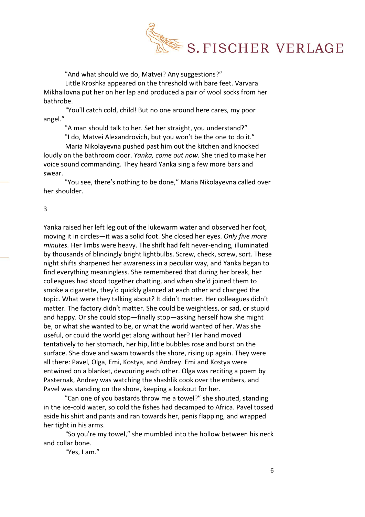

"And what should we do, Matvei? Any suggestions?"

Little Kroshka appeared on the threshold with bare feet. Varvara Mikhailovna put her on her lap and produced a pair of wool socks from her bathrobe.

"You'll catch cold, child! But no one around here cares, my poor angel."

"A man should talk to her. Set her straight, you understand?"

"I do, Matvei Alexandrovich, but you won't be the one to do it."

Maria Nikolayevna pushed past him out the kitchen and knocked loudly on the bathroom door. *Yanka, come out now.* She tried to make her voice sound commanding. They heard Yanka sing a few more bars and swear.

"You see, there's nothing to be done," Maria Nikolayevna called over her shoulder.

3

Yanka raised her left leg out of the lukewarm water and observed her foot, moving it in circles—it was a solid foot. She closed her eyes. *Only five more minutes.* Her limbs were heavy. The shift had felt never-ending, illuminated by thousands of blindingly bright lightbulbs. Screw, check, screw, sort. These night shifts sharpened her awareness in a peculiar way, and Yanka began to find everything meaningless. She remembered that during her break, her colleagues had stood together chatting, and when she'd joined them to smoke a cigarette, they'd quickly glanced at each other and changed the topic. What were they talking about? It didn't matter. Her colleagues didn't matter. The factory didn't matter. She could be weightless, or sad, or stupid and happy. Or she could stop—finally stop—asking herself how she might be, or what she wanted to be, or what the world wanted of her. Was she useful, or could the world get along without her? Her hand moved tentatively to her stomach, her hip, little bubbles rose and burst on the surface. She dove and swam towards the shore, rising up again. They were all there: Pavel, Olga, Emi, Kostya, and Andrey. Emi and Kostya were entwined on a blanket, devouring each other. Olga was reciting a poem by Pasternak, Andrey was watching the shashlik cook over the embers, and Pavel was standing on the shore, keeping a lookout for her.

"Can one of you bastards throw me a towel?" she shouted, standing in the ice-cold water, so cold the fishes had decamped to Africa. Pavel tossed aside his shirt and pants and ran towards her, penis flapping, and wrapped her tight in his arms.

"So you're my towel," she mumbled into the hollow between his neck and collar bone.

"Yes, I am."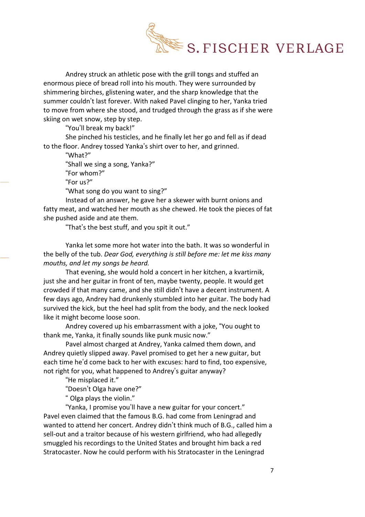

Andrey struck an athletic pose with the grill tongs and stuffed an enormous piece of bread roll into his mouth. They were surrounded by shimmering birches, glistening water, and the sharp knowledge that the summer couldn't last forever. With naked Pavel clinging to her, Yanka tried to move from where she stood, and trudged through the grass as if she were skiing on wet snow, step by step.

"You'll break my back!"

She pinched his testicles, and he finally let her go and fell as if dead to the floor. Andrey tossed Yanka's shirt over to her, and grinned.

"What?"

"Shall we sing a song, Yanka?"

"For whom?"

"For us?"

"What song do you want to sing?"

Instead of an answer, he gave her a skewer with burnt onions and fatty meat, and watched her mouth as she chewed. He took the pieces of fat she pushed aside and ate them.

"That's the best stuff, and you spit it out."

Yanka let some more hot water into the bath. It was so wonderful in the belly of the tub. *Dear God, everything is still before me: let me kiss many mouths, and let my songs be heard.*

That evening, she would hold a concert in her kitchen, a kvartirnik, just she and her guitar in front of ten, maybe twenty, people. It would get crowded if that many came, and she still didn't have a decent instrument. A few days ago, Andrey had drunkenly stumbled into her guitar. The body had survived the kick, but the heel had split from the body, and the neck looked like it might become loose soon.

Andrey covered up his embarrassment with a joke, "You ought to thank me, Yanka, it finally sounds like punk music now."

Pavel almost charged at Andrey, Yanka calmed them down, and Andrey quietly slipped away. Pavel promised to get her a new guitar, but each time he'd come back to her with excuses: hard to find, too expensive, not right for you, what happened to Andrey's guitar anyway?

"He misplaced it."

"Doesn't Olga have one?"

" Olga plays the violin."

"Yanka, I promise you'll have a new guitar for your concert." Pavel even claimed that the famous B.G. had come from Leningrad and wanted to attend her concert. Andrey didn't think much of B.G., called him a sell-out and a traitor because of his western girlfriend, who had allegedly smuggled his recordings to the United States and brought him back a red Stratocaster. Now he could perform with his Stratocaster in the Leningrad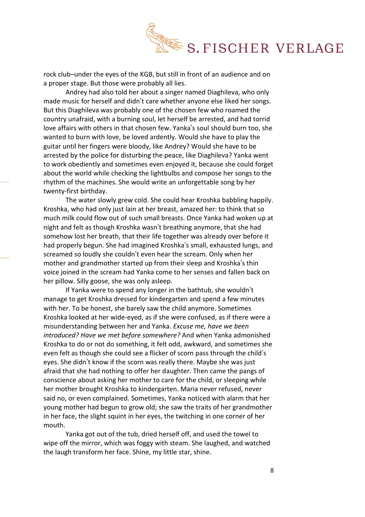

rock club–under the eyes of the KGB, but still in front of an audience and on a proper stage. But those were probably all lies.

Andrey had also told her about a singer named Diaghileva, who only made music for herself and didn't care whether anyone else liked her songs. But this Diaghileva was probably one of the chosen few who roamed the country unafraid, with a burning soul, let herself be arrested, and had torrid love affairs with others in that chosen few. Yanka's soul should burn too, she wanted to burn with love, be loved ardently. Would she have to play the guitar until her fingers were bloody, like Andrey? Would she have to be arrested by the police for disturbing the peace, like Diaghileva? Yanka went to work obediently and sometimes even enjoyed it, because she could forget about the world while checking the lightbulbs and compose her songs to the rhythm of the machines. She would write an unforgettable song by her twenty-first birthday.

The water slowly grew cold. She could hear Kroshka babbling happily. Kroshka, who had only just lain at her breast, amazed her: to think that so much milk could flow out of such small breasts. Once Yanka had woken up at night and felt as though Kroshka wasn't breathing anymore, that she had somehow lost her breath, that their life together was already over before it had properly begun. She had imagined Kroshka's small, exhausted lungs, and screamed so loudly she couldn't even hear the scream. Only when her mother and grandmother started up from their sleep and Kroshka's thin voice joined in the scream had Yanka come to her senses and fallen back on her pillow. Silly goose, she was only asleep.

If Yanka were to spend any longer in the bathtub, she wouldn't manage to get Kroshka dressed for kindergarten and spend a few minutes with her. To be honest, she barely saw the child anymore. Sometimes Kroshka looked at her wide-eyed, as if she were confused, as if there were a misunderstanding between her and Yanka. *Excuse me, have we been introduced? Have we met before somewhere?* And when Yanka admonished Kroshka to do or not do something, it felt odd, awkward, and sometimes she even felt as though she could see a flicker of scorn pass through the child's eyes. She didn't know if the scorn was really there. Maybe she was just afraid that she had nothing to offer her daughter. Then came the pangs of conscience about asking her mother to care for the child, or sleeping while her mother brought Kroshka to kindergarten. Maria never refused, never said no, or even complained. Sometimes, Yanka noticed with alarm that her young mother had begun to grow old; she saw the traits of her grandmother in her face, the slight squint in her eyes, the twitching in one corner of her mouth.

Yanka got out of the tub, dried herself off, and used the towel to wipe off the mirror, which was foggy with steam. She laughed, and watched the laugh transform her face. Shine, my little star, shine.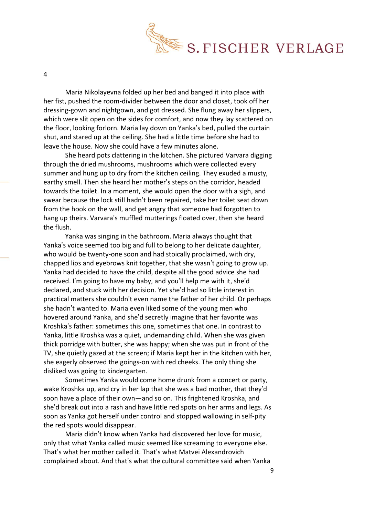

4

Maria Nikolayevna folded up her bed and banged it into place with her fist, pushed the room-divider between the door and closet, took off her dressing-gown and nightgown, and got dressed. She flung away her slippers, which were slit open on the sides for comfort, and now they lay scattered on the floor, looking forlorn. Maria lay down on Yanka's bed, pulled the curtain shut, and stared up at the ceiling. She had a little time before she had to leave the house. Now she could have a few minutes alone.

She heard pots clattering in the kitchen. She pictured Varvara digging through the dried mushrooms, mushrooms which were collected every summer and hung up to dry from the kitchen ceiling. They exuded a musty, earthy smell. Then she heard her mother's steps on the corridor, headed towards the toilet. In a moment, she would open the door with a sigh, and swear because the lock still hadn't been repaired, take her toilet seat down from the hook on the wall, and get angry that someone had forgotten to hang up theirs. Varvara's muffled mutterings floated over, then she heard the flush.

Yanka was singing in the bathroom. Maria always thought that Yanka's voice seemed too big and full to belong to her delicate daughter, who would be twenty-one soon and had stoically proclaimed, with dry, chapped lips and eyebrows knit together, that she wasn't going to grow up. Yanka had decided to have the child, despite all the good advice she had received. I'm going to have my baby, and you'll help me with it, she'd declared, and stuck with her decision. Yet she'd had so little interest in practical matters she couldn't even name the father of her child. Or perhaps she hadn't wanted to. Maria even liked some of the young men who hovered around Yanka, and she'd secretly imagine that her favorite was Kroshka's father: sometimes this one, sometimes that one. In contrast to Yanka, little Kroshka was a quiet, undemanding child. When she was given thick porridge with butter, she was happy; when she was put in front of the TV, she quietly gazed at the screen; if Maria kept her in the kitchen with her, she eagerly observed the goings-on with red cheeks. The only thing she disliked was going to kindergarten.

Sometimes Yanka would come home drunk from a concert or party, wake Kroshka up, and cry in her lap that she was a bad mother, that they'd soon have a place of their own—and so on. This frightened Kroshka, and she'd break out into a rash and have little red spots on her arms and legs. As soon as Yanka got herself under control and stopped wallowing in self-pity the red spots would disappear.

Maria didn't know when Yanka had discovered her love for music, only that what Yanka called music seemed like screaming to everyone else. That's what her mother called it. That's what Matvei Alexandrovich complained about. And that's what the cultural committee said when Yanka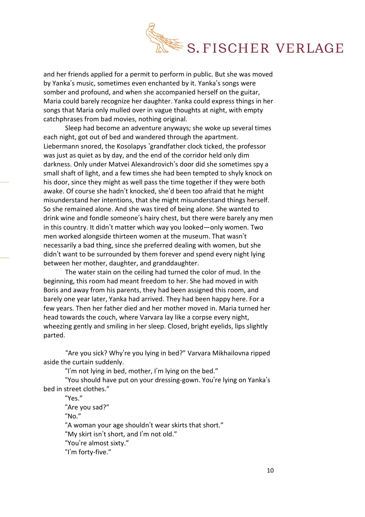

and her friends applied for a permit to perform in public. But she was moved by Yanka's music, sometimes even enchanted by it. Yanka's songs were somber and profound, and when she accompanied herself on the guitar, Maria could barely recognize her daughter. Yanka could express things in her songs that Maria only mulled over in vague thoughts at night, with empty catchphrases from bad movies, nothing original.

Sleep had become an adventure anyways; she woke up several times each night, got out of bed and wandered through the apartment. Liebermann snored, the Kosolapys 'grandfather clock ticked, the professor was just as quiet as by day, and the end of the corridor held only dim darkness. Only under Matvei Alexandrovich's door did she sometimes spy a small shaft of light, and a few times she had been tempted to shyly knock on his door, since they might as well pass the time together if they were both awake. Of course she hadn't knocked, she'd been too afraid that he might misunderstand her intentions, that she might misunderstand things herself. So she remained alone. And she was tired of being alone. She wanted to drink wine and fondle someone's hairy chest, but there were barely any men in this country. It didn't matter which way you looked—only women. Two men worked alongside thirteen women at the museum. That wasn't necessarily a bad thing, since she preferred dealing with women, but she didn't want to be surrounded by them forever and spend every night lying between her mother, daughter, and granddaughter.

The water stain on the ceiling had turned the color of mud. In the beginning, this room had meant freedom to her. She had moved in with Boris and away from his parents, they had been assigned this room, and barely one year later, Yanka had arrived. They had been happy here. For a few years. Then her father died and her mother moved in. Maria turned her head towards the couch, where Varvara lay like a corpse every night, wheezing gently and smiling in her sleep. Closed, bright eyelids, lips slightly parted.

"Are you sick? Why're you lying in bed?" Varvara Mikhailovna ripped aside the curtain suddenly.

"I'm not lying in bed, mother, I'm lying on the bed."

"You should have put on your dressing-gown. You're lying on Yanka's bed in street clothes."

"Yes."

"Are you sad?"

" $No.$ "

"A woman your age shouldn't wear skirts that short."

"My skirt isn't short, and I'm not old."

"You're almost sixty."

"I'm forty-five."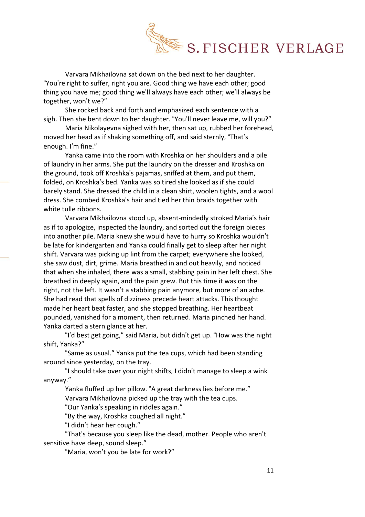

Varvara Mikhailovna sat down on the bed next to her daughter. "You're right to suffer, right you are. Good thing we have each other; good thing you have me; good thing we'll always have each other; we'll always be together, won't we?"

She rocked back and forth and emphasized each sentence with a sigh. Then she bent down to her daughter. "You'll never leave me, will you?"

Maria Nikolayevna sighed with her, then sat up, rubbed her forehead, moved her head as if shaking something off, and said sternly, "That's enough. I'm fine."

Yanka came into the room with Kroshka on her shoulders and a pile of laundry in her arms. She put the laundry on the dresser and Kroshka on the ground, took off Kroshka's pajamas, sniffed at them, and put them, folded, on Kroshka's bed. Yanka was so tired she looked as if she could barely stand. She dressed the child in a clean shirt, woolen tights, and a wool dress. She combed Kroshka's hair and tied her thin braids together with white tulle ribbons.

Varvara Mikhailovna stood up, absent-mindedly stroked Maria's hair as if to apologize, inspected the laundry, and sorted out the foreign pieces into another pile. Maria knew she would have to hurry so Kroshka wouldn't be late for kindergarten and Yanka could finally get to sleep after her night shift. Varvara was picking up lint from the carpet; everywhere she looked, she saw dust, dirt, grime. Maria breathed in and out heavily, and noticed that when she inhaled, there was a small, stabbing pain in her left chest. She breathed in deeply again, and the pain grew. But this time it was on the right, not the left. It wasn't a stabbing pain anymore, but more of an ache. She had read that spells of dizziness precede heart attacks. This thought made her heart beat faster, and she stopped breathing. Her heartbeat pounded, vanished for a moment, then returned. Maria pinched her hand. Yanka darted a stern glance at her.

"I'd best get going," said Maria, but didn't get up. "How was the night shift, Yanka?"

"Same as usual." Yanka put the tea cups, which had been standing around since yesterday, on the tray.

"I should take over your night shifts, I didn't manage to sleep a wink anyway."

Yanka fluffed up her pillow. "A great darkness lies before me."

Varvara Mikhailovna picked up the tray with the tea cups.

"Our Yanka's speaking in riddles again."

"By the way, Kroshka coughed all night."

"I didn't hear her cough."

"That's because you sleep like the dead, mother. People who aren't sensitive have deep, sound sleep."

"Maria, won't you be late for work?"